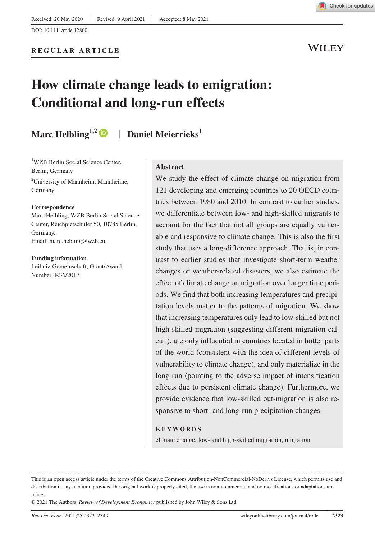Check for updates

WILEY

# **How climate change leads to emigration: Conditional and long-run effects**

## **Marc Helbling**<sup>1,2</sup> | Daniel Meierrieks<sup>1</sup>

<sup>1</sup>WZB Berlin Social Science Center, Berlin, Germany <sup>2</sup>University of Mannheim, Mannheime, Germany

#### **Correspondence**

Marc Helbling, WZB Berlin Social Science Center, Reichpietschufer 50, 10785 Berlin, Germany. Email: [marc.hebling@wzb.eu](mailto:marc.hebling@wzb.eu)

#### **Funding information**

Leibniz-Gemeinschaft, Grant/Award Number: K36/2017

#### **Abstract**

We study the effect of climate change on migration from 121 developing and emerging countries to 20 OECD countries between 1980 and 2010. In contrast to earlier studies, we differentiate between low- and high-skilled migrants to account for the fact that not all groups are equally vulnerable and responsive to climate change. This is also the first study that uses a long-difference approach. That is, in contrast to earlier studies that investigate short-term weather changes or weather-related disasters, we also estimate the effect of climate change on migration over longer time periods. We find that both increasing temperatures and precipitation levels matter to the patterns of migration. We show that increasing temperatures only lead to low-skilled but not high-skilled migration (suggesting different migration calculi), are only influential in countries located in hotter parts of the world (consistent with the idea of different levels of vulnerability to climate change), and only materialize in the long run (pointing to the adverse impact of intensification effects due to persistent climate change). Furthermore, we provide evidence that low-skilled out-migration is also responsive to short- and long-run precipitation changes.

#### **KEYWORDS**

climate change, low- and high-skilled migration, migration

© 2021 The Authors. *Review of Development Economics* published by John Wiley & Sons Ltd

This is an open access article under the terms of the [Creative Commons Attribution-NonCommercial-NoDerivs](http://creativecommons.org/licenses/by-nc-nd/4.0/) License, which permits use and distribution in any medium, provided the original work is properly cited, the use is non-commercial and no modifications or adaptations are made.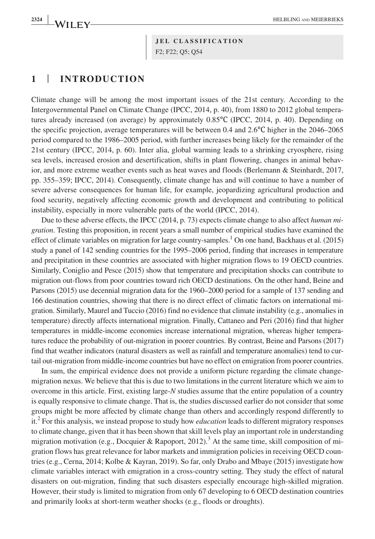**<sup>2324</sup> <sup>|</sup>** HELBLING and MEIERRIEKS

**JEL CLASSIFICATION** F2; F22; Q5; Q54

### **1** | **INTRODUCTION**

Climate change will be among the most important issues of the 21st century. According to the Intergovernmental Panel on Climate Change (IPCC, 2014, p. 40), from 1880 to 2012 global temperatures already increased (on average) by approximately 0.85℃ (IPCC, 2014, p. 40). Depending on the specific projection, average temperatures will be between 0.4 and 2.6℃ higher in the 2046–2065 period compared to the 1986–2005 period, with further increases being likely for the remainder of the 21st century (IPCC, 2014, p. 60). Inter alia, global warming leads to a shrinking cryosphere, rising sea levels, increased erosion and desertification, shifts in plant flowering, changes in animal behavior, and more extreme weather events such as heat waves and floods (Berlemann & Steinhardt, 2017, pp. 355–359; IPCC, 2014). Consequently, climate change has and will continue to have a number of severe adverse consequences for human life, for example, jeopardizing agricultural production and food security, negatively affecting economic growth and development and contributing to political instability, especially in more vulnerable parts of the world (IPCC, 2014).

Due to these adverse effects, the IPCC (2014, p. 73) expects climate change to also affect *human migration*. Testing this proposition, in recent years a small number of empirical studies have examined the effect of climate variables on migration for large country-samples.<sup>1</sup> On one hand, Backhaus et al. (2015) study a panel of 142 sending countries for the 1995–2006 period, finding that increases in temperature and precipitation in these countries are associated with higher migration flows to 19 OECD countries. Similarly, Coniglio and Pesce (2015) show that temperature and precipitation shocks can contribute to migration out-flows from poor countries toward rich OECD destinations. On the other hand, Beine and Parsons (2015) use decennial migration data for the 1960–2000 period for a sample of 137 sending and 166 destination countries, showing that there is no direct effect of climatic factors on international migration. Similarly, Maurel and Tuccio (2016) find no evidence that climate instability (e.g., anomalies in temperature) directly affects international migration. Finally, Cattaneo and Peri (2016) find that higher temperatures in middle-income economies increase international migration, whereas higher temperatures reduce the probability of out-migration in poorer countries. By contrast, Beine and Parsons (2017) find that weather indicators (natural disasters as well as rainfall and temperature anomalies) tend to curtail out-migration from middle-income countries but have no effect on emigration from poorer countries.

In sum, the empirical evidence does not provide a uniform picture regarding the climate changemigration nexus. We believe that this is due to two limitations in the current literature which we aim to overcome in this article. First, existing large-*N* studies assume that the entire population of a country is equally responsive to climate change. That is, the studies discussed earlier do not consider that some groups might be more affected by climate change than others and accordingly respond differently to it.2 For this analysis, we instead propose to study how *education* leads to different migratory responses to climate change, given that it has been shown that skill levels play an important role in understanding migration motivation (e.g., Docquier & Rapoport, 2012).<sup>3</sup> At the same time, skill composition of migration flows has great relevance for labor markets and immigration policies in receiving OECD countries (e.g., Cerna, 2014; Kolbe & Kayran, 2019). So far, only Drabo and Mbaye (2015) investigate how climate variables interact with emigration in a cross-country setting. They study the effect of natural disasters on out-migration, finding that such disasters especially encourage high-skilled migration. However, their study is limited to migration from only 67 developing to 6 OECD destination countries and primarily looks at short-term weather shocks (e.g., floods or droughts).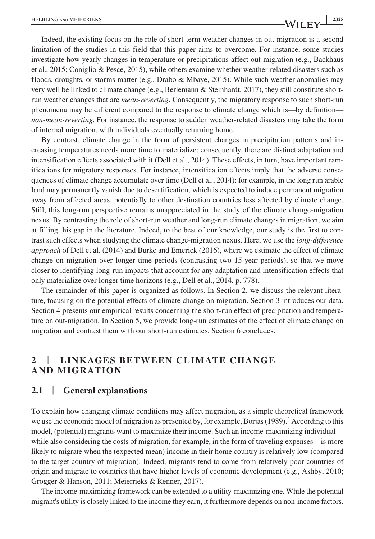Indeed, the existing focus on the role of short-term weather changes in out-migration is a second limitation of the studies in this field that this paper aims to overcome. For instance, some studies investigate how yearly changes in temperature or precipitations affect out-migration (e.g., Backhaus et al., 2015; Coniglio & Pesce, 2015), while others examine whether weather-related disasters such as floods, droughts, or storms matter (e.g., Drabo & Mbaye, 2015). While such weather anomalies may very well be linked to climate change (e.g., Berlemann & Steinhardt, 2017), they still constitute shortrun weather changes that are *mean-reverting*. Consequently, the migratory response to such short-run phenomena may be different compared to the response to climate change which is—by definition *non-mean-reverting*. For instance, the response to sudden weather-related disasters may take the form of internal migration, with individuals eventually returning home.

By contrast, climate change in the form of persistent changes in precipitation patterns and increasing temperatures needs more time to materialize; consequently, there are distinct adaptation and intensification effects associated with it (Dell et al., 2014). These effects, in turn, have important ramifications for migratory responses. For instance, intensification effects imply that the adverse consequences of climate change accumulate over time (Dell et al., 2014): for example, in the long run arable land may permanently vanish due to desertification, which is expected to induce permanent migration away from affected areas, potentially to other destination countries less affected by climate change. Still, this long-run perspective remains unappreciated in the study of the climate change-migration nexus. By contrasting the role of short-run weather and long-run climate changes in migration, we aim at filling this gap in the literature. Indeed, to the best of our knowledge, our study is the first to contrast such effects when studying the climate change-migration nexus. Here, we use the *long-difference approach* of Dell et al. (2014) and Burke and Emerick (2016), where we estimate the effect of climate change on migration over longer time periods (contrasting two 15-year periods), so that we move closer to identifying long-run impacts that account for any adaptation and intensification effects that only materialize over longer time horizons (e.g., Dell et al., 2014, p. 778).

The remainder of this paper is organized as follows. In Section 2, we discuss the relevant literature, focusing on the potential effects of climate change on migration. Section 3 introduces our data. Section 4 presents our empirical results concerning the short-run effect of precipitation and temperature on out-migration. In Section 5, we provide long-run estimates of the effect of climate change on migration and contrast them with our short-run estimates. Section 6 concludes.

### **2** | **LINKAGES BETWEEN CLIMATE CHANGE AND MIGRATION**

#### **2.1** | **General explanations**

To explain how changing climate conditions may affect migration, as a simple theoretical framework we use the economic model of migration as presented by, for example, Borjas (1989).<sup>4</sup> According to this model, (potential) migrants want to maximize their income. Such an income-maximizing individual while also considering the costs of migration, for example, in the form of traveling expenses—is more likely to migrate when the (expected mean) income in their home country is relatively low (compared to the target country of migration). Indeed, migrants tend to come from relatively poor countries of origin and migrate to countries that have higher levels of economic development (e.g., Ashby, 2010; Grogger & Hanson, 2011; Meierrieks & Renner, 2017).

The income-maximizing framework can be extended to a utility-maximizing one. While the potential migrant's utility is closely linked to the income they earn, it furthermore depends on non-income factors.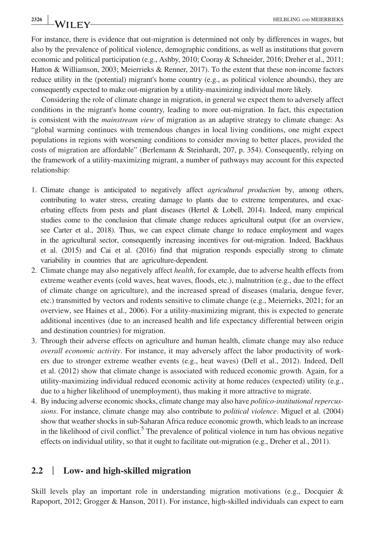For instance, there is evidence that out-migration is determined not only by differences in wages, but also by the prevalence of political violence, demographic conditions, as well as institutions that govern economic and political participation (e.g., Ashby, 2010; Cooray & Schneider, 2016; Dreher et al., 2011; Hatton & Williamson, 2003; Meierrieks & Renner, 2017). To the extent that these non-income factors reduce utility in the (potential) migrant's home country (e.g., as political violence abounds), they are consequently expected to make out-migration by a utility-maximizing individual more likely.

Considering the role of climate change in migration, in general we expect them to adversely affect conditions in the migrant's home country, leading to more out-migration. In fact, this expectation is consistent with the *mainstream view* of migration as an adaptive strategy to climate change: As "global warming continues with tremendous changes in local living conditions, one might expect populations in regions with worsening conditions to consider moving to better places, provided the costs of migration are affordable" (Berlemann & Steinhardt, 207, p. 354). Consequently, relying on the framework of a utility-maximizing migrant, a number of pathways may account for this expected relationship:

- 1. Climate change is anticipated to negatively affect *agricultural production* by, among others, contributing to water stress, creating damage to plants due to extreme temperatures, and exacerbating effects from pests and plant diseases (Hertel & Lobell, 2014). Indeed, many empirical studies come to the conclusion that climate change reduces agricultural output (for an overview, see Carter et al., 2018). Thus, we can expect climate change to reduce employment and wages in the agricultural sector, consequently increasing incentives for out-migration. Indeed, Backhaus et al. (2015) and Cai et al. (2016) find that migration responds especially strong to climate variability in countries that are agriculture-dependent.
- 2. Climate change may also negatively affect *health*, for example, due to adverse health effects from extreme weather events (cold waves, heat waves, floods, etc.), malnutrition (e.g., due to the effect of climate change on agriculture), and the increased spread of diseases (malaria, dengue fever, etc.) transmitted by vectors and rodents sensitive to climate change (e.g., Meierrieks, 2021; for an overview, see Haines et al., 2006). For a utility-maximizing migrant, this is expected to generate additional incentives (due to an increased health and life expectancy differential between origin and destination countries) for migration.
- 3. Through their adverse effects on agriculture and human health, climate change may also reduce *overall economic activity*. For instance, it may adversely affect the labor productivity of workers due to stronger extreme weather events (e.g., heat waves) (Dell et al., 2012). Indeed, Dell et al. (2012) show that climate change is associated with reduced economic growth. Again, for a utility-maximizing individual reduced economic activity at home reduces (expected) utility (e.g., due to a higher likelihood of unemployment), thus making it more attractive to migrate.
- 4. By inducing adverse economic shocks, climate change may also have *politico-institutional repercussions*. For instance, climate change may also contribute to *political violence*. Miguel et al. (2004) show that weather shocks in sub-Saharan Africa reduce economic growth, which leads to an increase in the likelihood of civil conflict.<sup>5</sup> The prevalence of political violence in turn has obvious negative effects on individual utility, so that it ought to facilitate out-migration (e.g., Dreher et al., 2011).

#### **2.2** | **Low- and high-skilled migration**

Skill levels play an important role in understanding migration motivations (e.g., Docquier  $\&$ Rapoport, 2012; Grogger & Hanson, 2011). For instance, high-skilled individuals can expect to earn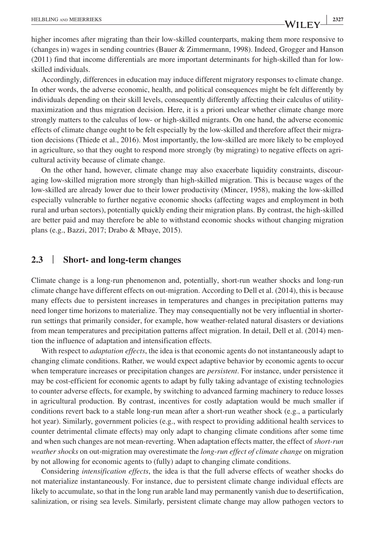higher incomes after migrating than their low-skilled counterparts, making them more responsive to (changes in) wages in sending countries (Bauer & Zimmermann, 1998). Indeed, Grogger and Hanson (2011) find that income differentials are more important determinants for high-skilled than for lowskilled individuals.

Accordingly, differences in education may induce different migratory responses to climate change. In other words, the adverse economic, health, and political consequences might be felt differently by individuals depending on their skill levels, consequently differently affecting their calculus of utilitymaximization and thus migration decision. Here, it is a priori unclear whether climate change more strongly matters to the calculus of low- or high-skilled migrants. On one hand, the adverse economic effects of climate change ought to be felt especially by the low-skilled and therefore affect their migration decisions (Thiede et al., 2016). Most importantly, the low-skilled are more likely to be employed in agriculture, so that they ought to respond more strongly (by migrating) to negative effects on agricultural activity because of climate change.

On the other hand, however, climate change may also exacerbate liquidity constraints, discouraging low-skilled migration more strongly than high-skilled migration. This is because wages of the low-skilled are already lower due to their lower productivity (Mincer, 1958), making the low-skilled especially vulnerable to further negative economic shocks (affecting wages and employment in both rural and urban sectors), potentially quickly ending their migration plans. By contrast, the high-skilled are better paid and may therefore be able to withstand economic shocks without changing migration plans (e.g., Bazzi, 2017; Drabo & Mbaye, 2015).

#### **2.3** | **Short- and long-term changes**

Climate change is a long-run phenomenon and, potentially, short-run weather shocks and long-run climate change have different effects on out-migration. According to Dell et al. (2014), this is because many effects due to persistent increases in temperatures and changes in precipitation patterns may need longer time horizons to materialize. They may consequentially not be very influential in shorterrun settings that primarily consider, for example, how weather-related natural disasters or deviations from mean temperatures and precipitation patterns affect migration. In detail, Dell et al. (2014) mention the influence of adaptation and intensification effects.

With respect to *adaptation effects*, the idea is that economic agents do not instantaneously adapt to changing climate conditions. Rather, we would expect adaptive behavior by economic agents to occur when temperature increases or precipitation changes are *persistent*. For instance, under persistence it may be cost-efficient for economic agents to adapt by fully taking advantage of existing technologies to counter adverse effects, for example, by switching to advanced farming machinery to reduce losses in agricultural production. By contrast, incentives for costly adaptation would be much smaller if conditions revert back to a stable long-run mean after a short-run weather shock (e.g., a particularly hot year). Similarly, government policies (e.g., with respect to providing additional health services to counter detrimental climate effects) may only adapt to changing climate conditions after some time and when such changes are not mean-reverting. When adaptation effects matter, the effect of *short-run weather shocks* on out-migration may overestimate the *long-run effect of climate change* on migration by not allowing for economic agents to (fully) adapt to changing climate conditions.

Considering *intensification effects*, the idea is that the full adverse effects of weather shocks do not materialize instantaneously. For instance, due to persistent climate change individual effects are likely to accumulate, so that in the long run arable land may permanently vanish due to desertification, salinization, or rising sea levels. Similarly, persistent climate change may allow pathogen vectors to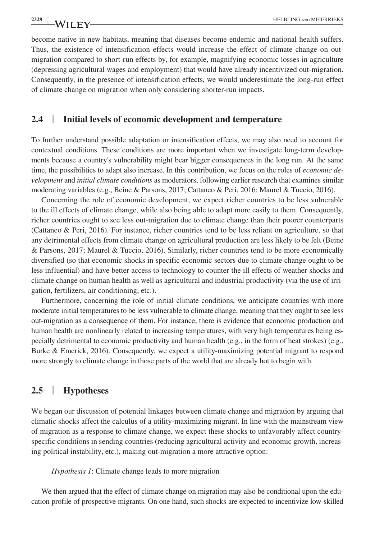become native in new habitats, meaning that diseases become endemic and national health suffers. Thus, the existence of intensification effects would increase the effect of climate change on outmigration compared to short-run effects by, for example, magnifying economic losses in agriculture (depressing agricultural wages and employment) that would have already incentivized out-migration. Consequently, in the presence of intensification effects, we would underestimate the long-run effect of climate change on migration when only considering shorter-run impacts.

#### **2.4** | **Initial levels of economic development and temperature**

To further understand possible adaptation or intensification effects, we may also need to account for contextual conditions. These conditions are more important when we investigate long-term developments because a country's vulnerability might bear bigger consequences in the long run. At the same time, the possibilities to adapt also increase. In this contribution, we focus on the roles of *economic development* and *initial climate conditions* as moderators, following earlier research that examines similar moderating variables (e.g., Beine & Parsons, 2017; Cattaneo & Peri, 2016; Maurel & Tuccio, 2016).

Concerning the role of economic development, we expect richer countries to be less vulnerable to the ill effects of climate change, while also being able to adapt more easily to them. Consequently, richer countries ought to see less out-migration due to climate change than their poorer counterparts (Cattaneo & Peri, 2016). For instance, richer countries tend to be less reliant on agriculture, so that any detrimental effects from climate change on agricultural production are less likely to be felt (Beine & Parsons, 2017; Maurel & Tuccio, 2016). Similarly, richer countries tend to be more economically diversified (so that economic shocks in specific economic sectors due to climate change ought to be less influential) and have better access to technology to counter the ill effects of weather shocks and climate change on human health as well as agricultural and industrial productivity (via the use of irrigation, fertilizers, air conditioning, etc.).

Furthermore, concerning the role of initial climate conditions, we anticipate countries with more moderate initial temperatures to be less vulnerable to climate change, meaning that they ought to see less out-migration as a consequence of them. For instance, there is evidence that economic production and human health are nonlinearly related to increasing temperatures, with very high temperatures being especially detrimental to economic productivity and human health (e.g., in the form of heat strokes) (e.g., Burke & Emerick, 2016). Consequently, we expect a utility-maximizing potential migrant to respond more strongly to climate change in those parts of the world that are already hot to begin with.

#### **2.5** | **Hypotheses**

We began our discussion of potential linkages between climate change and migration by arguing that climatic shocks affect the calculus of a utility-maximizing migrant. In line with the mainstream view of migration as a response to climate change, we expect these shocks to unfavorably affect countryspecific conditions in sending countries (reducing agricultural activity and economic growth, increasing political instability, etc.), making out-migration a more attractive option:

#### *Hypothesis 1*: Climate change leads to more migration

We then argued that the effect of climate change on migration may also be conditional upon the education profile of prospective migrants. On one hand, such shocks are expected to incentivize low-skilled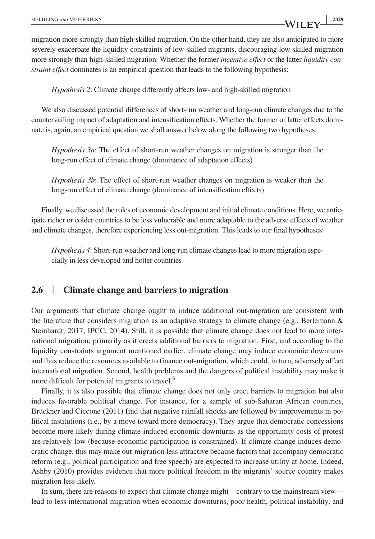migration more strongly than high-skilled migration. On the other hand, they are also anticipated to more severely exacerbate the liquidity constraints of low-skilled migrants, discouraging low-skilled migration more strongly than high-skilled migration. Whether the former *incentive effect* or the latter *liquidity constraint effect* dominates is an empirical question that leads to the following hypothesis:

*Hypothesis 2*: Climate change differently affects low- and high-skilled migration

We also discussed potential differences of short-run weather and long-run climate changes due to the countervailing impact of adaptation and intensification effects. Whether the former or latter effects dominate is, again, an empirical question we shall answer below along the following two hypotheses:

*Hypothesis 3a*: The effect of short-run weather changes on migration is stronger than the long-run effect of climate change (dominance of adaptation effects)

*Hypothesis 3b*: The effect of short-run weather changes on migration is weaker than the long-run effect of climate change (dominance of intensification effects)

Finally, we discussed the roles of economic development and initial climate conditions. Here, we anticipate richer or colder countries to be less vulnerable and more adaptable to the adverse effects of weather and climate changes, therefore experiencing less out-migration. This leads to our final hypotheses:

*Hypothesis 4*: Short-run weather and long-run climate changes lead to more migration especially in less developed and hotter countries

## **2.6** | **Climate change and barriers to migration**

Our arguments that climate change ought to induce additional out-migration are consistent with the literature that considers migration as an adaptive strategy to climate change (e.g., Berlemann & Steinhardt, 2017; IPCC, 2014). Still, it is possible that climate change does not lead to more international migration, primarily as it erects additional barriers to migration. First, and according to the liquidity constraints argument mentioned earlier, climate change may induce economic downturns and thus reduce the resources available to finance out-migration, which could, in turn, adversely affect international migration. Second, health problems and the dangers of political instability may make it more difficult for potential migrants to travel.<sup>6</sup>

Finally, it is also possible that climate change does not only erect barriers to migration but also induces favorable political change. For instance, for a sample of sub-Saharan African countries, Brückner and Ciccone (2011) find that negative rainfall shocks are followed by improvements in political institutions (i.e., by a move toward more democracy). They argue that democratic concessions become more likely during climate-induced economic downturns as the opportunity costs of protest are relatively low (because economic participation is constrained). If climate change induces democratic change, this may make out-migration less attractive because factors that accompany democratic reform (e.g., political participation and free speech) are expected to increase utility at home. Indeed, Ashby (2010) provides evidence that more political freedom in the migrants' source country makes migration less likely.

In sum, there are reasons to expect that climate change might—contrary to the mainstream view lead to less international migration when economic downturns, poor health, political instability, and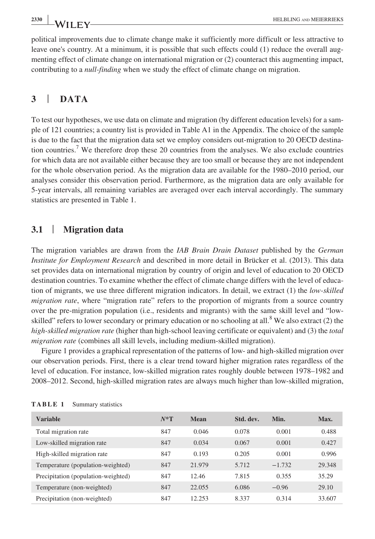political improvements due to climate change make it sufficiently more difficult or less attractive to leave one's country. At a minimum, it is possible that such effects could (1) reduce the overall augmenting effect of climate change on international migration or (2) counteract this augmenting impact, contributing to a *null-finding* when we study the effect of climate change on migration.

### **3** | **DATA**

To test our hypotheses, we use data on climate and migration (by different education levels) for a sample of 121 countries; a country list is provided in Table A1 in the Appendix. The choice of the sample is due to the fact that the migration data set we employ considers out-migration to 20 OECD destination countries.<sup>7</sup> We therefore drop these 20 countries from the analyses. We also exclude countries for which data are not available either because they are too small or because they are not independent for the whole observation period. As the migration data are available for the 1980–2010 period, our analyses consider this observation period. Furthermore, as the migration data are only available for 5-year intervals, all remaining variables are averaged over each interval accordingly. The summary statistics are presented in Table 1.

#### **3.1** | **Migration data**

The migration variables are drawn from the *IAB Brain Drain Dataset* published by the *German Institute for Employment Research* and described in more detail in Brücker et al. (2013). This data set provides data on international migration by country of origin and level of education to 20 OECD destination countries. To examine whether the effect of climate change differs with the level of education of migrants, we use three different migration indicators. In detail, we extract (1) the *low-skilled migration rate*, where "migration rate" refers to the proportion of migrants from a source country over the pre-migration population (i.e., residents and migrants) with the same skill level and "lowskilled" refers to lower secondary or primary education or no schooling at all.<sup>8</sup> We also extract (2) the *high-skilled migration rate* (higher than high-school leaving certificate or equivalent) and (3) the *total migration rate* (combines all skill levels, including medium-skilled migration).

Figure 1 provides a graphical representation of the patterns of low- and high-skilled migration over our observation periods. First, there is a clear trend toward higher migration rates regardless of the level of education. For instance, low-skilled migration rates roughly double between 1978–1982 and 2008–2012. Second, high-skilled migration rates are always much higher than low-skilled migration,

| <b>Variable</b>                     | $N^*T$ | Mean   | Std. dev. | Min.     | Max.   |
|-------------------------------------|--------|--------|-----------|----------|--------|
| Total migration rate                | 847    | 0.046  | 0.078     | 0.001    | 0.488  |
| Low-skilled migration rate          | 847    | 0.034  | 0.067     | 0.001    | 0.427  |
| High-skilled migration rate         | 847    | 0.193  | 0.205     | 0.001    | 0.996  |
| Temperature (population-weighted)   | 847    | 21.979 | 5.712     | $-1.732$ | 29.348 |
| Precipitation (population-weighted) | 847    | 12.46  | 7.815     | 0.355    | 35.29  |
| Temperature (non-weighted)          | 847    | 22.055 | 6.086     | $-0.96$  | 29.10  |
| Precipitation (non-weighted)        | 847    | 12.253 | 8.337     | 0.314    | 33.607 |

| TABLE 1 | Summary statistics |  |
|---------|--------------------|--|
|---------|--------------------|--|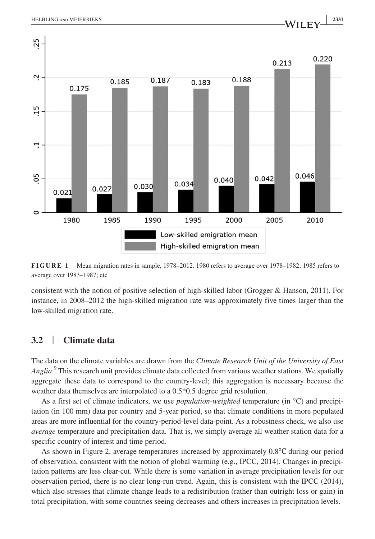

**FIGURE 1** Mean migration rates in sample, 1978–2012. 1980 refers to average over 1978–1982; 1985 refers to average over 1983–1987; etc

consistent with the notion of positive selection of high-skilled labor (Grogger & Hanson, 2011). For instance, in 2008–2012 the high-skilled migration rate was approximately five times larger than the low-skilled migration rate.

#### **3.2** | **Climate data**

The data on the climate variables are drawn from the *Climate Research Unit of the University of East Anglia*. 9 This research unit provides climate data collected from various weather stations. We spatially aggregate these data to correspond to the country-level; this aggregation is necessary because the weather data themselves are interpolated to a 0.5\*0.5 degree grid resolution.

As a first set of climate indicators, we use *population-weighted* temperature (in °C) and precipitation (in 100 mm) data per country and 5-year period, so that climate conditions in more populated areas are more influential for the country-period-level data-point. As a robustness check, we also use *average* temperature and precipitation data. That is, we simply average all weather station data for a specific country of interest and time period.

As shown in Figure 2, average temperatures increased by approximately 0.8℃ during our period of observation, consistent with the notion of global warming (e.g., IPCC, 2014). Changes in precipitation patterns are less clear-cut. While there is some variation in average precipitation levels for our observation period, there is no clear long-run trend. Again, this is consistent with the IPCC (2014), which also stresses that climate change leads to a redistribution (rather than outright loss or gain) in total precipitation, with some countries seeing decreases and others increases in precipitation levels.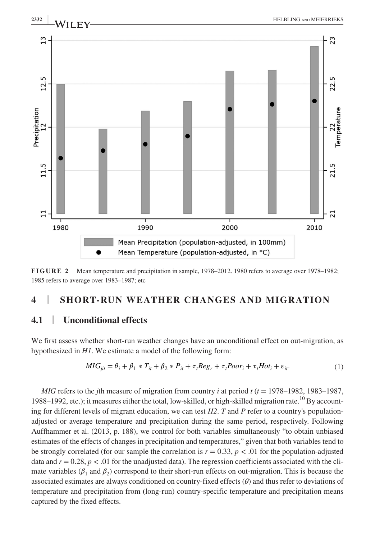

**FIGURE 2** Mean temperature and precipitation in sample, 1978–2012. 1980 refers to average over 1978–1982; 1985 refers to average over 1983–1987; etc

## **4** | **SHORT-RUN WEATHER CHANGES AND MIGRATION**

### **4.1** | **Unconditional effects**

We first assess whether short-run weather changes have an unconditional effect on out-migration, as hypothesized in *H1*. We estimate a model of the following form:

$$
MIG_{jit} = \theta_i + \beta_1 * T_{it} + \beta_2 * P_{it} + \tau_t Reg_r + \tau_t Poor_i + \tau_t Hot_i + \varepsilon_{it}.
$$
<sup>(1)</sup>

*MIG* refers to the *j*th measure of migration from country *i* at period  $t$  ( $t = 1978-1982$ , 1983–1987, 1988–1992, etc.); it measures either the total, low-skilled, or high-skilled migration rate.<sup>10</sup> By accounting for different levels of migrant education, we can test *H2*. *T* and *P* refer to a country's populationadjusted or average temperature and precipitation during the same period, respectively. Following Auffhammer et al. (2013, p. 188), we control for both variables simultaneously "to obtain unbiased estimates of the effects of changes in precipitation and temperatures," given that both variables tend to be strongly correlated (for our sample the correlation is  $r = 0.33$ ,  $p < .01$  for the population-adjusted data and  $r = 0.28$ ,  $p < .01$  for the unadjusted data). The regression coefficients associated with the climate variables ( $\beta_1$  and  $\beta_2$ ) correspond to their short-run effects on out-migration. This is because the associated estimates are always conditioned on country-fixed effects (*θ*) and thus refer to deviations of temperature and precipitation from (long-run) country-specific temperature and precipitation means captured by the fixed effects.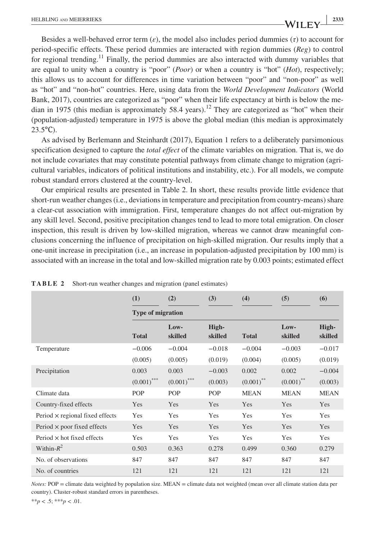Besides a well-behaved error term  $(\varepsilon)$ , the model also includes period dummies  $(\tau)$  to account for period-specific effects. These period dummies are interacted with region dummies (*Reg*) to control for regional trending.<sup>11</sup> Finally, the period dummies are also interacted with dummy variables that are equal to unity when a country is "poor" (*Poor*) or when a country is "hot" (*Hot*), respectively; this allows us to account for differences in time variation between "poor" and "non-poor" as well as "hot" and "non-hot" countries. Here, using data from the *World Development Indicators* (World Bank, 2017), countries are categorized as "poor" when their life expectancy at birth is below the median in 1975 (this median is approximately 58.4 years).<sup>12</sup> They are categorized as "hot" when their (population-adjusted) temperature in 1975 is above the global median (this median is approximately  $23.5$ °C).

As advised by Berlemann and Steinhardt (2017), Equation 1 refers to a deliberately parsimonious specification designed to capture the *total effect* of the climate variables on migration. That is, we do not include covariates that may constitute potential pathways from climate change to migration (agricultural variables, indicators of political institutions and instability, etc.). For all models, we compute robust standard errors clustered at the country-level.

Our empirical results are presented in Table 2. In short, these results provide little evidence that short-run weather changes (i.e., deviations in temperature and precipitation from country-means) share a clear-cut association with immigration. First, temperature changes do not affect out-migration by any skill level. Second, positive precipitation changes tend to lead to more total emigration. On closer inspection, this result is driven by low-skilled migration, whereas we cannot draw meaningful conclusions concerning the influence of precipitation on high-skilled migration. Our results imply that a one-unit increase in precipitation (i.e., an increase in population-adjusted precipitation by 100 mm) is associated with an increase in the total and low-skilled migration rate by 0.003 points; estimated effect

|                                        | (1)                      | (2)             | (3)              | (4)          | (5)             | (6)              |  |
|----------------------------------------|--------------------------|-----------------|------------------|--------------|-----------------|------------------|--|
|                                        | <b>Type of migration</b> |                 |                  |              |                 |                  |  |
|                                        | <b>Total</b>             | Low-<br>skilled | High-<br>skilled | <b>Total</b> | Low-<br>skilled | High-<br>skilled |  |
| Temperature                            | $-0.006$                 | $-0.004$        | $-0.018$         | $-0.004$     | $-0.003$        | $-0.017$         |  |
|                                        | (0.005)                  | (0.005)         | (0.019)          | (0.004)      | (0.005)         | (0.019)          |  |
| Precipitation                          | 0.003                    | 0.003           | $-0.003$         | 0.002        | 0.002           | $-0.004$         |  |
|                                        | $(0.001)$ ***            | $(0.001)$ ***   | (0.003)          | $(0.001)$ ** | $(0.001)$ **    | (0.003)          |  |
| Climate data                           | POP                      | POP             | POP              | <b>MEAN</b>  | <b>MEAN</b>     | <b>MEAN</b>      |  |
| Country-fixed effects                  | <b>Yes</b>               | Yes             | Yes              | <b>Yes</b>   | Yes             | Yes              |  |
| Period $\times$ regional fixed effects | Yes                      | Yes             | Yes              | Yes          | Yes             | Yes              |  |
| Period $\times$ poor fixed effects     | Yes                      | Yes             | Yes              | Yes          | Yes             | Yes              |  |
| Period $\times$ hot fixed effects      | Yes                      | Yes             | Yes              | Yes          | Yes             | Yes              |  |
| Within- $R^2$                          | 0.503                    | 0.363           | 0.278            | 0.499        | 0.360           | 0.279            |  |
| No. of observations                    | 847                      | 847             | 847              | 847          | 847             | 847              |  |
| No. of countries                       | 121                      | 121             | 121              | 121          | 121             | 121              |  |

**TABLE 2** Short-run weather changes and migration (panel estimates)

*Notes: POP* = climate data weighted by population size. MEAN = climate data not weighted (mean over all climate station data per country). Cluster-robust standard errors in parentheses.

 $**p < .5$ ; \*\*\**p* < .01.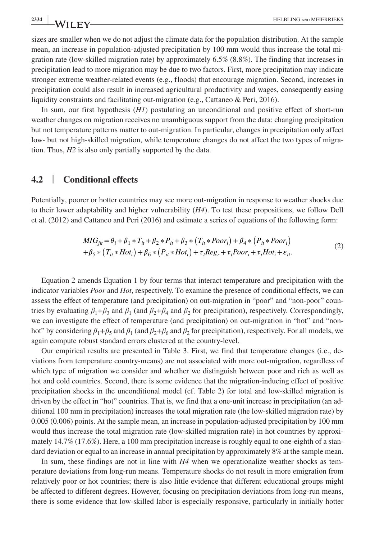sizes are smaller when we do not adjust the climate data for the population distribution. At the sample mean, an increase in population-adjusted precipitation by 100 mm would thus increase the total migration rate (low-skilled migration rate) by approximately 6.5% (8.8%). The finding that increases in precipitation lead to more migration may be due to two factors. First, more precipitation may indicate stronger extreme weather-related events (e.g., floods) that encourage migration. Second, increases in precipitation could also result in increased agricultural productivity and wages, consequently easing liquidity constraints and facilitating out-migration (e.g., Cattaneo & Peri, 2016).

In sum, our first hypothesis (*H1*) postulating an unconditional and positive effect of short-run weather changes on migration receives no unambiguous support from the data: changing precipitation but not temperature patterns matter to out-migration. In particular, changes in precipitation only affect low- but not high-skilled migration, while temperature changes do not affect the two types of migration. Thus, *H2* is also only partially supported by the data.

#### **4.2** | **Conditional effects**

Potentially, poorer or hotter countries may see more out-migration in response to weather shocks due to their lower adaptability and higher vulnerability (*H4*). To test these propositions, we follow Dell et al. (2012) and Cattaneo and Peri (2016) and estimate a series of equations of the following form:

$$
MIG_{jii} = \theta_i + \beta_1 * T_{it} + \beta_2 * P_{it} + \beta_3 * (T_{it} * Poor_i) + \beta_4 * (P_{it} * Poor_i)
$$
  
+
$$
\beta_5 * (T_{it} * Hot_i) + \beta_6 * (P_{it} * Hot_i) + \tau_t Reg_r + \tau_t Poor_i + \tau_t Hot_i + \epsilon_{it}.
$$
 (2)

Equation 2 amends Equation 1 by four terms that interact temperature and precipitation with the indicator variables *Poor* and *Hot*, respectively. To examine the presence of conditional effects, we can assess the effect of temperature (and precipitation) on out-migration in "poor" and "non-poor" countries by evaluating  $\beta_1 + \beta_3$  and  $\beta_1$  (and  $\beta_2 + \beta_4$  and  $\beta_2$  for precipitation), respectively. Correspondingly, we can investigate the effect of temperature (and precipitation) on out-migration in "hot" and "nonhot" by considering  $\beta_1 + \beta_5$  and  $\beta_1$  (and  $\beta_2 + \beta_6$  and  $\beta_2$  for precipitation), respectively. For all models, we again compute robust standard errors clustered at the country-level.

Our empirical results are presented in Table 3. First, we find that temperature changes (i.e., deviations from temperature country-means) are not associated with more out-migration, regardless of which type of migration we consider and whether we distinguish between poor and rich as well as hot and cold countries. Second, there is some evidence that the migration-inducing effect of positive precipitation shocks in the unconditional model (cf. Table 2) for total and low-skilled migration is driven by the effect in "hot" countries. That is, we find that a one-unit increase in precipitation (an additional 100 mm in precipitation) increases the total migration rate (the low-skilled migration rate) by 0.005 (0.006) points. At the sample mean, an increase in population-adjusted precipitation by 100 mm would thus increase the total migration rate (low-skilled migration rate) in hot countries by approximately 14.7% (17.6%). Here, a 100 mm precipitation increase is roughly equal to one-eighth of a standard deviation or equal to an increase in annual precipitation by approximately 8% at the sample mean.

In sum, these findings are not in line with *H4* when we operationalize weather shocks as temperature deviations from long-run means. Temperature shocks do not result in more emigration from relatively poor or hot countries; there is also little evidence that different educational groups might be affected to different degrees. However, focusing on precipitation deviations from long-run means, there is some evidence that low-skilled labor is especially responsive, particularly in initially hotter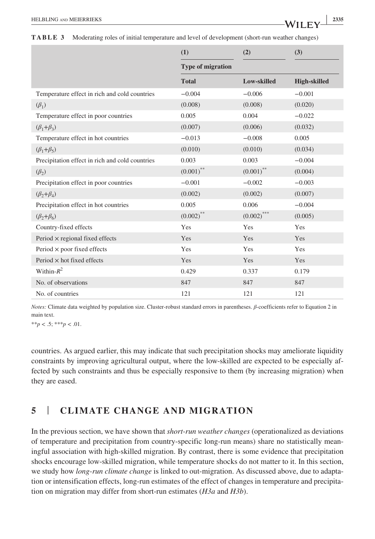**TABLE 3** Moderating roles of initial temperature and level of development (short-run weather changes)

|                                                 | (1)                      | (2)           | (3)                 |
|-------------------------------------------------|--------------------------|---------------|---------------------|
|                                                 | <b>Type of migration</b> |               |                     |
|                                                 | <b>Total</b>             | Low-skilled   | <b>High-skilled</b> |
| Temperature effect in rich and cold countries   | $-0.004$                 | $-0.006$      | $-0.001$            |
| $(\beta_1)$                                     | (0.008)                  | (0.008)       | (0.020)             |
| Temperature effect in poor countries            | 0.005                    | 0.004         | $-0.022$            |
| $(\beta_1+\beta_2)$                             | (0.007)                  | (0.006)       | (0.032)             |
| Temperature effect in hot countries             | $-0.013$                 | $-0.008$      | 0.005               |
| $(\beta_1+\beta_5)$                             | (0.010)                  | (0.010)       | (0.034)             |
| Precipitation effect in rich and cold countries | 0.003                    | 0.003         | $-0.004$            |
| $(\beta_2)$                                     | $(0.001)$ **             | $(0.001)$ **  | (0.004)             |
| Precipitation effect in poor countries          | $-0.001$                 | $-0.002$      | $-0.003$            |
| $(\beta_2+\beta_4)$                             | (0.002)                  | (0.002)       | (0.007)             |
| Precipitation effect in hot countries           | 0.005                    | 0.006         | $-0.004$            |
| $(\beta_2+\beta_6)$                             | $(0.002)$ **             | $(0.002)$ *** | (0.005)             |
| Country-fixed effects                           | Yes                      | Yes           | Yes                 |
| Period $\times$ regional fixed effects          | Yes                      | Yes           | Yes                 |
| Period $\times$ poor fixed effects              | Yes                      | Yes           | Yes                 |
| Period $\times$ hot fixed effects               | Yes                      | Yes           | Yes                 |
| Within- $R^2$                                   | 0.429                    | 0.337         | 0.179               |
| No. of observations                             | 847                      | 847           | 847                 |
| No. of countries                                | 121                      | 121           | 121                 |

*Notes:* Climate data weighted by population size. Cluster-robust standard errors in parentheses. *β*-coefficients refer to Equation 2 in main text.

\*\**p* < .5; \*\*\**p* < .01.

countries. As argued earlier, this may indicate that such precipitation shocks may ameliorate liquidity constraints by improving agricultural output, where the low-skilled are expected to be especially affected by such constraints and thus be especially responsive to them (by increasing migration) when they are eased.

### **5** | **CLIMATE CHANGE AND MIGRATION**

In the previous section, we have shown that *short-run weather changes* (operationalized as deviations of temperature and precipitation from country-specific long-run means) share no statistically meaningful association with high-skilled migration. By contrast, there is some evidence that precipitation shocks encourage low-skilled migration, while temperature shocks do not matter to it. In this section, we study how *long-run climate change* is linked to out-migration. As discussed above, due to adaptation or intensification effects, long-run estimates of the effect of changes in temperature and precipitation on migration may differ from short-run estimates (*H3a* and *H3b*).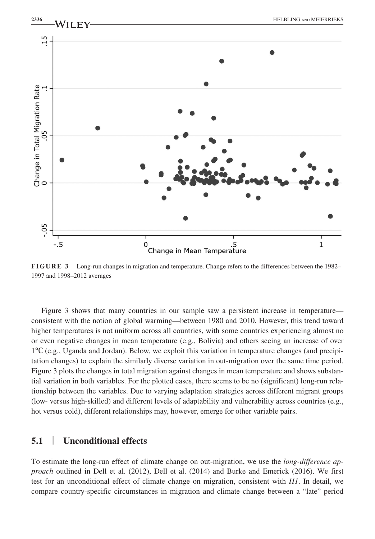

**FIGURE 3** Long-run changes in migration and temperature. Change refers to the differences between the 1982– 1997 and 1998–2012 averages

Figure 3 shows that many countries in our sample saw a persistent increase in temperature consistent with the notion of global warming—between 1980 and 2010. However, this trend toward higher temperatures is not uniform across all countries, with some countries experiencing almost no or even negative changes in mean temperature (e.g., Bolivia) and others seeing an increase of over 1℃ (e.g., Uganda and Jordan). Below, we exploit this variation in temperature changes (and precipitation changes) to explain the similarly diverse variation in out-migration over the same time period. Figure 3 plots the changes in total migration against changes in mean temperature and shows substantial variation in both variables. For the plotted cases, there seems to be no (significant) long-run relationship between the variables. Due to varying adaptation strategies across different migrant groups (low- versus high-skilled) and different levels of adaptability and vulnerability across countries (e.g., hot versus cold), different relationships may, however, emerge for other variable pairs.

#### **5.1** | **Unconditional effects**

To estimate the long-run effect of climate change on out-migration, we use the *long-difference approach* outlined in Dell et al. (2012), Dell et al. (2014) and Burke and Emerick (2016). We first test for an unconditional effect of climate change on migration, consistent with *H1*. In detail, we compare country-specific circumstances in migration and climate change between a "late" period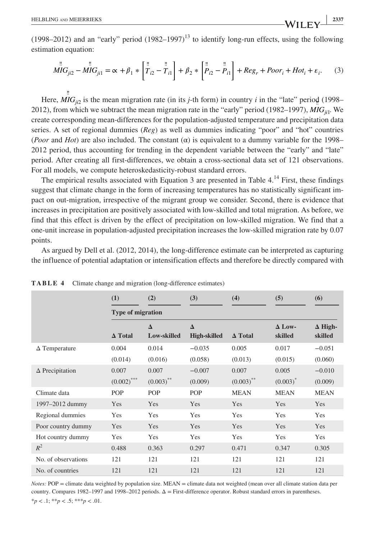(1998–2012) and an "early" period  $(1982–1997)^{13}$  to identify long-run effects, using the following estimation equation:

$$
\stackrel{\parallel}{MI}G_{ji2} - \stackrel{\parallel}{MI}G_{ji1} = \alpha + \beta_1 * \left[ \stackrel{\parallel}{T}_{i2} - \stackrel{\parallel}{T}_{i1} \right] + \beta_2 * \left[ \stackrel{\parallel}{P}_{i2} - \stackrel{\parallel}{P}_{i1} \right] + Reg_r + Poor_i + Hot_i + \epsilon_i. \tag{3}
$$

Here,  $MIG_{ji2}$  is the mean migration rate (in its *j*-th form) in country *i* in the "late" period (1998– ‼ 2012), from which we subtract the mean migration rate in the "early" period (1982–1997), *MIGji*1. We create corresponding mean-differences for the population-adjusted temperature and precipitation data series. A set of regional dummies (*Reg*) as well as dummies indicating "poor" and "hot" countries (*Poor* and *Hot*) are also included. The constant  $(\alpha)$  is equivalent to a dummy variable for the 1998– 2012 period, thus accounting for trending in the dependent variable between the "early" and "late" period. After creating all first-differences, we obtain a cross-sectional data set of 121 observations. For all models, we compute heteroskedasticity-robust standard errors.

The empirical results associated with Equation 3 are presented in Table 4.<sup>14</sup> First, these findings suggest that climate change in the form of increasing temperatures has no statistically significant impact on out-migration, irrespective of the migrant group we consider. Second, there is evidence that increases in precipitation are positively associated with low-skilled and total migration. As before, we find that this effect is driven by the effect of precipitation on low-skilled migration. We find that a one-unit increase in population-adjusted precipitation increases the low-skilled migration rate by 0.07 points.

As argued by Dell et al. (2012, 2014), the long-difference estimate can be interpreted as capturing the influence of potential adaptation or intensification effects and therefore be directly compared with

|                        | (1)                                        | (2)                     | (3)                             | (4)                   | (5)                      | (6)                       |
|------------------------|--------------------------------------------|-------------------------|---------------------------------|-----------------------|--------------------------|---------------------------|
|                        | <b>Type of migration</b><br><b>A</b> Total | $\Delta$<br>Low-skilled | $\Delta$<br><b>High-skilled</b> | $\Delta$ Total        | $\Delta$ Low-<br>skilled | $\Delta$ High-<br>skilled |
| $\Delta$ Temperature   | 0.004<br>(0.014)                           | 0.014<br>(0.016)        | $-0.035$<br>(0.058)             | 0.005<br>(0.013)      | 0.017<br>(0.015)         | $-0.051$<br>(0.060)       |
| $\Delta$ Precipitation | 0.007<br>$(0.002)$ ***                     | 0.007<br>$(0.003)$ **   | $-0.007$<br>(0.009)             | 0.007<br>$(0.003)$ ** | 0.005<br>$(0.003)^*$     | $-0.010$<br>(0.009)       |
| Climate data           | POP                                        | POP                     | <b>POP</b>                      | <b>MEAN</b>           | <b>MEAN</b>              | <b>MEAN</b>               |
| 1997-2012 dummy        | Yes                                        | <b>Yes</b>              | Yes                             | <b>Yes</b>            | Yes                      | Yes                       |
| Regional dummies       | <b>Yes</b>                                 | <b>Yes</b>              | <b>Yes</b>                      | <b>Yes</b>            | Yes                      | Yes                       |
| Poor country dummy     | Yes                                        | <b>Yes</b>              | Yes                             | Yes                   | Yes                      | Yes                       |
| Hot country dummy      | Yes                                        | <b>Yes</b>              | <b>Yes</b>                      | <b>Yes</b>            | <b>Yes</b>               | Yes                       |
| $R^2$                  | 0.488                                      | 0.363                   | 0.297                           | 0.471                 | 0.347                    | 0.305                     |
| No. of observations    | 121                                        | 121                     | 121                             | 121                   | 121                      | 121                       |
| No. of countries       | 121                                        | 121                     | 121                             | 121                   | 121                      | 121                       |

**TABLE 4** Climate change and migration (long-difference estimates)

*Notes: POP* = climate data weighted by population size. MEAN = climate data not weighted (mean over all climate station data per country. Compares 1982–1997 and 1998–2012 periods. Δ = First-difference operator. Robust standard errors in parentheses.  $*_{p} < 0.1;$   $*_{p} < 0.5;$   $*_{p} < 0.01$ .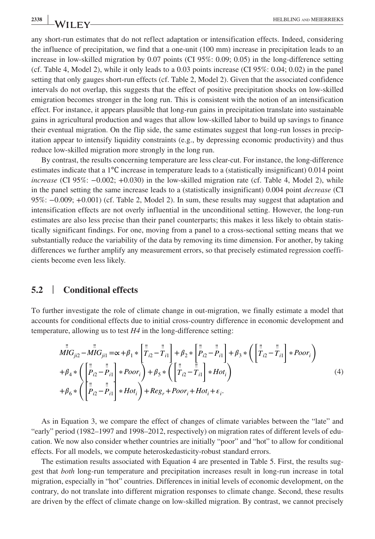any short-run estimates that do not reflect adaptation or intensification effects. Indeed, considering the influence of precipitation, we find that a one-unit (100 mm) increase in precipitation leads to an increase in low-skilled migration by 0.07 points (CI 95%: 0.09; 0.05) in the long-difference setting (cf. Table 4, Model 2), while it only leads to a 0.03 points increase (CI 95%: 0.04; 0.02) in the panel setting that only gauges short-run effects (cf. Table 2, Model 2). Given that the associated confidence intervals do not overlap, this suggests that the effect of positive precipitation shocks on low-skilled emigration becomes stronger in the long run. This is consistent with the notion of an intensification effect. For instance, it appears plausible that long-run gains in precipitation translate into sustainable gains in agricultural production and wages that allow low-skilled labor to build up savings to finance their eventual migration. On the flip side, the same estimates suggest that long-run losses in precipitation appear to intensify liquidity constraints (e.g., by depressing economic productivity) and thus reduce low-skilled migration more strongly in the long run.

By contrast, the results concerning temperature are less clear-cut. For instance, the long-difference estimates indicate that a 1℃ increase in temperature leads to a (statistically insignificant) 0.014 point *increase* (CI 95%: −0.002; +0.030) in the low-skilled migration rate (cf. Table 4, Model 2), while in the panel setting the same increase leads to a (statistically insignificant) 0.004 point *decrease* (CI 95%: −0.009; +0.001) (cf. Table 2, Model 2). In sum, these results may suggest that adaptation and intensification effects are not overly influential in the unconditional setting. However, the long-run estimates are also less precise than their panel counterparts; this makes it less likely to obtain statistically significant findings. For one, moving from a panel to a cross-sectional setting means that we substantially reduce the variability of the data by removing its time dimension. For another, by taking differences we further amplify any measurement errors, so that precisely estimated regression coefficients become even less likely.

#### **5.2** | **Conditional effects**

To further investigate the role of climate change in out-migration, we finally estimate a model that accounts for conditional effects due to initial cross-country difference in economic development and temperature, allowing us to test *H4* in the long-difference setting:

$$
\overrightarrow{MIG}_{ji2} - \overrightarrow{MIG}_{ji1} = \alpha + \beta_1 * \left[ \overrightarrow{T}_{i2} - \overrightarrow{T}_{i1} \right] + \beta_2 * \left[ \overrightarrow{P}_{i2} - \overrightarrow{P}_{i1} \right] + \beta_3 * \left( \left[ \overrightarrow{T}_{i2} - \overrightarrow{T}_{i1} \right] * Poor_i \right)
$$
\n
$$
+ \beta_4 * \left( \left[ \overrightarrow{P}_{i2} - \overrightarrow{P}_{i1} \right] * Poor_i \right) + \beta_5 * \left( \left[ \overrightarrow{T}_{i2} - \overrightarrow{T}_{i1} \right] * Hot_i \right)
$$
\n
$$
+ \beta_6 * \left( \left[ \overrightarrow{P}_{i2} - \overrightarrow{P}_{i1} \right] * Hot_i \right) + Reg_r + Poor_i + Hot_i + \epsilon_i.
$$
\n(4)

As in Equation 3, we compare the effect of changes of climate variables between the "late" and "early" period (1982–1997 and 1998–2012, respectively) on migration rates of different levels of education. We now also consider whether countries are initially "poor" and "hot" to allow for conditional effects. For all models, we compute heteroskedasticity-robust standard errors.

The estimation results associated with Equation 4 are presented in Table 5. First, the results suggest that *both* long-run temperature and precipitation increases result in long-run increase in total migration, especially in "hot" countries. Differences in initial levels of economic development, on the contrary, do not translate into different migration responses to climate change. Second, these results are driven by the effect of climate change on low-skilled migration. By contrast, we cannot precisely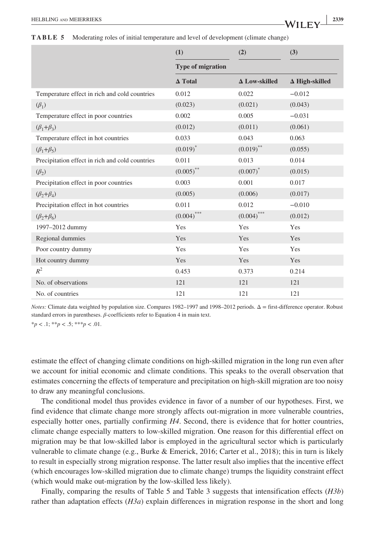|                                                 | (1)                      | (2)                  | (3)                   |
|-------------------------------------------------|--------------------------|----------------------|-----------------------|
|                                                 | <b>Type of migration</b> |                      |                       |
|                                                 | $\Delta$ Total           | $\Delta$ Low-skilled | $\Delta$ High-skilled |
| Temperature effect in rich and cold countries   | 0.012                    | 0.022                | $-0.012$              |
| $(\beta_1)$                                     | (0.023)                  | (0.021)              | (0.043)               |
| Temperature effect in poor countries            | 0.002                    | 0.005                | $-0.031$              |
| $(\beta_1+\beta_3)$                             | (0.012)                  | (0.011)              | (0.061)               |
| Temperature effect in hot countries             | 0.033                    | 0.043                | 0.063                 |
| $(\beta_1+\beta_5)$                             | $(0.019)^*$              | $(0.019)$ **         | (0.055)               |
| Precipitation effect in rich and cold countries | 0.011                    | 0.013                | 0.014                 |
| $(\beta_2)$                                     | $(0.005)$ **             | $(0.007)^*$          | (0.015)               |
| Precipitation effect in poor countries          | 0.003                    | 0.001                | 0.017                 |
| $(\beta_2+\beta_4)$                             | (0.005)                  | (0.006)              | (0.017)               |
| Precipitation effect in hot countries           | 0.011                    | 0.012                | $-0.010$              |
| $(\beta_2+\beta_6)$                             | $(0.004)$ ***            | $(0.004)$ ***        | (0.012)               |
| 1997-2012 dummy                                 | Yes                      | Yes                  | Yes                   |
| Regional dummies                                | Yes                      | Yes                  | Yes                   |
| Poor country dummy                              | Yes                      | Yes                  | Yes                   |
| Hot country dummy                               | Yes                      | Yes                  | Yes                   |
| $R^2$                                           | 0.453                    | 0.373                | 0.214                 |
| No. of observations                             | 121                      | 121                  | 121                   |
| No. of countries                                | 121                      | 121                  | 121                   |

*Notes:* Climate data weighted by population size. Compares 1982–1997 and 1998–2012 periods. Δ = first-difference operator. Robust standard errors in parentheses. *β*-coefficients refer to Equation 4 in main text.

 $*_{p} < 0.1; *_{p} < 0.5; *_{p} < 0.01.$ 

estimate the effect of changing climate conditions on high-skilled migration in the long run even after we account for initial economic and climate conditions. This speaks to the overall observation that estimates concerning the effects of temperature and precipitation on high-skill migration are too noisy to draw any meaningful conclusions.

The conditional model thus provides evidence in favor of a number of our hypotheses. First, we find evidence that climate change more strongly affects out-migration in more vulnerable countries, especially hotter ones, partially confirming *H4*. Second, there is evidence that for hotter countries, climate change especially matters to low-skilled migration. One reason for this differential effect on migration may be that low-skilled labor is employed in the agricultural sector which is particularly vulnerable to climate change (e.g., Burke & Emerick, 2016; Carter et al., 2018); this in turn is likely to result in especially strong migration response. The latter result also implies that the incentive effect (which encourages low-skilled migration due to climate change) trumps the liquidity constraint effect (which would make out-migration by the low-skilled less likely).

Finally, comparing the results of Table 5 and Table 3 suggests that intensification effects (*H3b*) rather than adaptation effects (*H3a*) explain differences in migration response in the short and long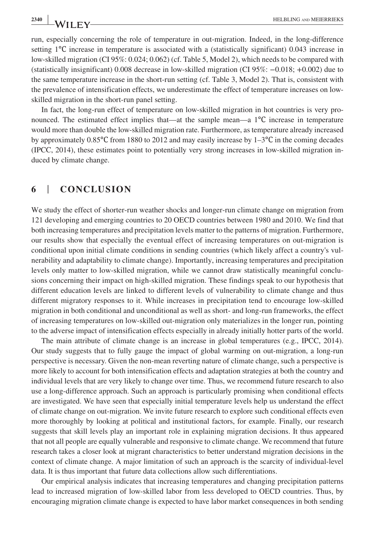run, especially concerning the role of temperature in out-migration. Indeed, in the long-difference setting 1<sup>°</sup>C increase in temperature is associated with a (statistically significant) 0.043 increase in low-skilled migration (CI 95%: 0.024; 0.062) (cf. Table 5, Model 2), which needs to be compared with (statistically insignificant) 0.008 decrease in low-skilled migration (CI 95%: −0.018; +0.002) due to the same temperature increase in the short-run setting (cf. Table 3, Model 2). That is, consistent with the prevalence of intensification effects, we underestimate the effect of temperature increases on lowskilled migration in the short-run panel setting.

In fact, the long-run effect of temperature on low-skilled migration in hot countries is very pronounced. The estimated effect implies that—at the sample mean—a 1℃ increase in temperature would more than double the low-skilled migration rate. Furthermore, as temperature already increased by approximately 0.85℃ from 1880 to 2012 and may easily increase by 1–3℃ in the coming decades (IPCC, 2014), these estimates point to potentially very strong increases in low-skilled migration induced by climate change.

### **6** | **CONCLUSION**

We study the effect of shorter-run weather shocks and longer-run climate change on migration from 121 developing and emerging countries to 20 OECD countries between 1980 and 2010. We find that both increasing temperatures and precipitation levels matter to the patterns of migration. Furthermore, our results show that especially the eventual effect of increasing temperatures on out-migration is conditional upon initial climate conditions in sending countries (which likely affect a country's vulnerability and adaptability to climate change). Importantly, increasing temperatures and precipitation levels only matter to low-skilled migration, while we cannot draw statistically meaningful conclusions concerning their impact on high-skilled migration. These findings speak to our hypothesis that different education levels are linked to different levels of vulnerability to climate change and thus different migratory responses to it. While increases in precipitation tend to encourage low-skilled migration in both conditional and unconditional as well as short- and long-run frameworks, the effect of increasing temperatures on low-skilled out-migration only materializes in the longer run, pointing to the adverse impact of intensification effects especially in already initially hotter parts of the world.

The main attribute of climate change is an increase in global temperatures (e.g., IPCC, 2014). Our study suggests that to fully gauge the impact of global warming on out-migration, a long-run perspective is necessary. Given the non-mean reverting nature of climate change, such a perspective is more likely to account for both intensification effects and adaptation strategies at both the country and individual levels that are very likely to change over time. Thus, we recommend future research to also use a long-difference approach. Such an approach is particularly promising when conditional effects are investigated. We have seen that especially initial temperature levels help us understand the effect of climate change on out-migration. We invite future research to explore such conditional effects even more thoroughly by looking at political and institutional factors, for example. Finally, our research suggests that skill levels play an important role in explaining migration decisions. It thus appeared that not all people are equally vulnerable and responsive to climate change. We recommend that future research takes a closer look at migrant characteristics to better understand migration decisions in the context of climate change. A major limitation of such an approach is the scarcity of individual-level data. It is thus important that future data collections allow such differentiations.

Our empirical analysis indicates that increasing temperatures and changing precipitation patterns lead to increased migration of low-skilled labor from less developed to OECD countries. Thus, by encouraging migration climate change is expected to have labor market consequences in both sending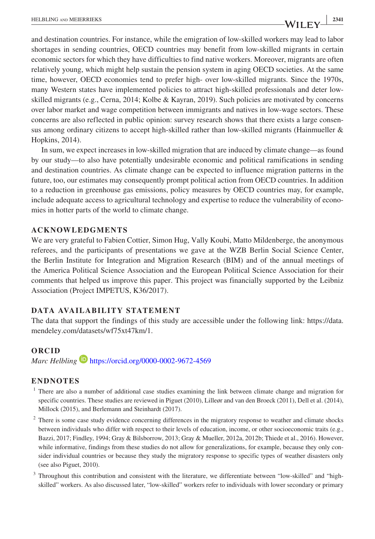and destination countries. For instance, while the emigration of low-skilled workers may lead to labor shortages in sending countries, OECD countries may benefit from low-skilled migrants in certain economic sectors for which they have difficulties to find native workers. Moreover, migrants are often relatively young, which might help sustain the pension system in aging OECD societies. At the same time, however, OECD economies tend to prefer high- over low-skilled migrants. Since the 1970s, many Western states have implemented policies to attract high-skilled professionals and deter lowskilled migrants (e.g., Cerna, 2014; Kolbe & Kayran, 2019). Such policies are motivated by concerns over labor market and wage competition between immigrants and natives in low-wage sectors. These concerns are also reflected in public opinion: survey research shows that there exists a large consensus among ordinary citizens to accept high-skilled rather than low-skilled migrants (Hainmueller & Hopkins, 2014).

In sum, we expect increases in low-skilled migration that are induced by climate change—as found by our study—to also have potentially undesirable economic and political ramifications in sending and destination countries. As climate change can be expected to influence migration patterns in the future, too, our estimates may consequently prompt political action from OECD countries. In addition to a reduction in greenhouse gas emissions, policy measures by OECD countries may, for example, include adequate access to agricultural technology and expertise to reduce the vulnerability of economies in hotter parts of the world to climate change.

#### **ACKNOWLEDGMENTS**

We are very grateful to Fabien Cottier, Simon Hug, Vally Koubi, Matto Mildenberge, the anonymous referees, and the participants of presentations we gave at the WZB Berlin Social Science Center, the Berlin Institute for Integration and Migration Research (BIM) and of the annual meetings of the America Political Science Association and the European Political Science Association for their comments that helped us improve this paper. This project was financially supported by the Leibniz Association (Project IMPETUS, K36/2017).

#### **DATA AVAILABILITY STATEMENT**

The data that support the findings of this study are accessible under the following link: [https://data.](https://data.mendeley.com/datasets/wf75xt47km/1) [mendeley.com/datasets/wf75xt47km/1](https://data.mendeley.com/datasets/wf75xt47km/1).

#### **ORCID**

*Marc Helbling* **<https://orcid.org/0000-0002-9672-4569>** 

#### **ENDNOTES**

- <sup>1</sup> There are also a number of additional case studies examining the link between climate change and migration for specific countries. These studies are reviewed in Piguet (2010), Lilleør and van den Broeck (2011), Dell et al. (2014), Millock (2015), and Berlemann and Steinhardt (2017).
- <sup>2</sup> There is some case study evidence concerning differences in the migratory response to weather and climate shocks between individuals who differ with respect to their levels of education, income, or other socioeconomic traits (e.g., Bazzi, 2017; Findley, 1994; Gray & Bilsborrow, 2013; Gray & Mueller, 2012a, 2012b; Thiede et al., 2016). However, while informative, findings from these studies do not allow for generalizations, for example, because they only consider individual countries or because they study the migratory response to specific types of weather disasters only (see also Piguet, 2010).
- <sup>3</sup> Throughout this contribution and consistent with the literature, we differentiate between "low-skilled" and "highskilled" workers. As also discussed later, "low-skilled" workers refer to individuals with lower secondary or primary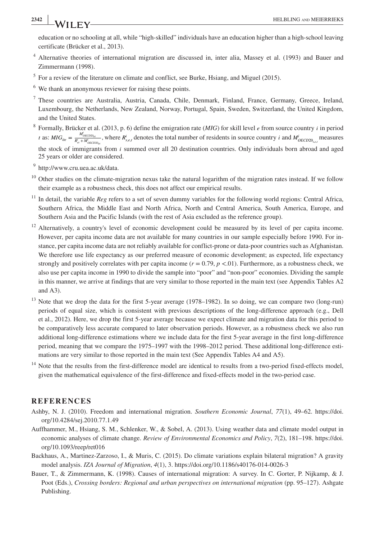#### **<sup>2342</sup> <sup>|</sup>** HELBLING and MEIERRIEKS

education or no schooling at all, while "high-skilled" individuals have an education higher than a high-school leaving certificate (Brücker et al., 2013).

- <sup>4</sup> Alternative theories of international migration are discussed in, inter alia, Massey et al. (1993) and Bauer and Zimmermann (1998).
- $<sup>5</sup>$  For a review of the literature on climate and conflict, see Burke, Hsiang, and Miguel (2015).</sup>
- <sup>6</sup> We thank an anonymous reviewer for raising these points.
- <sup>7</sup> These countries are Australia, Austria, Canada, Chile, Denmark, Finland, France, Germany, Greece, Ireland, Luxembourg, the Netherlands, New Zealand, Norway, Portugal, Spain, Sweden, Switzerland, the United Kingdom, and the United States.
- <sup>8</sup> Formally, Brücker et al. (2013, p. 6) define the emigration rate (*MIG*) for skill level *e* from source country *i* in period *t* as: *MIG*<sub>ite</sub> =  $\frac{M_{OECD20_{el}}^i}{R_{el}^i + M_{OECD20_{el}}^i}$ , where  $R_{s,e,t}^{i}$  denotes the total number of residents in source country *i* and  $M_{OECD20_{s,e,t}}^{i}$  measures the stock of immigrants from *i* summed over all 20 destination countries. Only individuals born abroad and aged 25 years or older are considered.

<sup>9</sup> [http://www.cru.uea.ac.uk/data.](http://www.cru.uea.ac.uk/data)

- $10$  Other studies on the climate-migration nexus take the natural logarithm of the migration rates instead. If we follow their example as a robustness check, this does not affect our empirical results.
- <sup>11</sup> In detail, the variable *Reg* refers to a set of seven dummy variables for the following world regions: Central Africa, Southern Africa, the Middle East and North Africa, North and Central America, South America, Europe, and Southern Asia and the Pacific Islands (with the rest of Asia excluded as the reference group).
- <sup>12</sup> Alternatively, a country's level of economic development could be measured by its level of per capita income. However, per capita income data are not available for many countries in our sample especially before 1990. For instance, per capita income data are not reliably available for conflict-prone or data-poor countries such as Afghanistan. We therefore use life expectancy as our preferred measure of economic development; as expected, life expectancy strongly and positively correlates with per capita income  $(r = 0.79, p < 0.01)$ . Furthermore, as a robustness check, we also use per capita income in 1990 to divide the sample into "poor" and "non-poor" economies. Dividing the sample in this manner, we arrive at findings that are very similar to those reported in the main text (see Appendix Tables A2 and A3).
- Note that we drop the data for the first 5-year average (1978–1982). In so doing, we can compare two (long-run) periods of equal size, which is consistent with previous descriptions of the long-difference approach (e.g., Dell et al., 2012). Here, we drop the first 5-year average because we expect climate and migration data for this period to be comparatively less accurate compared to later observation periods. However, as a robustness check we also run additional long-difference estimations where we include data for the first 5-year average in the first long-difference period, meaning that we compare the 1975–1997 with the 1998–2012 period. These additional long-difference estimations are very similar to those reported in the main text (See Appendix Tables A4 and A5).
- Note that the results from the first-difference model are identical to results from a two-period fixed-effects model, given the mathematical equivalence of the first-difference and fixed-effects model in the two-period case.

#### **REFERENCES**

- Ashby, N. J. (2010). Freedom and international migration. *Southern Economic Journal*, *77*(1), 49–62. [https://doi.](https://doi.org/10.4284/sej.2010.77.1.49) [org/10.4284/sej.2010.77.1.49](https://doi.org/10.4284/sej.2010.77.1.49)
- Auffhammer, M., Hsiang, S. M., Schlenker, W., & Sobel, A. (2013). Using weather data and climate model output in economic analyses of climate change. *Review of Environmental Economics and Policy*, *7*(2), 181–198. [https://doi.](https://doi.org/10.1093/reep/ret016) [org/10.1093/reep/ret016](https://doi.org/10.1093/reep/ret016)
- Backhaus, A., Martinez-Zarzoso, I., & Muris, C. (2015). Do climate variations explain bilateral migration? A gravity model analysis. *IZA Journal of Migration*, *4*(1), 3. <https://doi.org/10.1186/s40176-014-0026-3>
- Bauer, T., & Zimmermann, K. (1998). Causes of international migration: A survey. In C. Gorter, P. Nijkamp, & J. Poot (Eds.), *Crossing borders: Regional and urban perspectives on international migration* (pp. 95–127). Ashgate Publishing.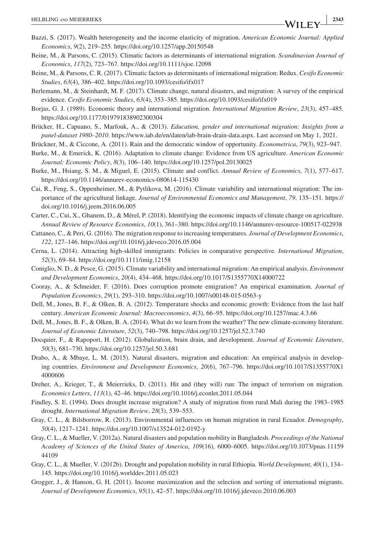- Bazzi, S. (2017). Wealth heterogeneity and the income elasticity of migration. *American Economic Journal: Applied Economics*, *9*(2), 219–255.<https://doi.org/10.1257/app.20150548>
- Beine, M., & Parsons, C. (2015). Climatic factors as determinants of international migration. *Scandinavian Journal of Economics*, *117*(2), 723–767. <https://doi.org/10.1111/sjoe.12098>
- Beine, M., & Parsons, C. R. (2017). Climatic factors as determinants of international migration: Redux. *Cesifo Economic Studies*, *63*(4), 386–402. <https://doi.org/10.1093/cesifo/ifx017>
- Berlemann, M., & Steinhardt, M. F. (2017). Climate change, natural disasters, and migration: A survey of the empirical evidence. *Cesifo Economic Studies*, *63*(4), 353–385.<https://doi.org/10.1093/cesifo/ifx019>
- Borjas, G. J. (1989). Economic theory and international migration. *International Migration Review*, *23*(3), 457–485. <https://doi.org/10.1177/019791838902300304>
- Brücker, H., Capuano, S., Marfouk, A., & (2013). *Education, gender and international migration: Insights from a panel-dataset 1980–2010*. [https://www.iab.de/en/daten/iab-brain-drain-data.aspx.](https://www.iab.de/en/daten/iab-brain-drain-data.aspx) Last accessed on May 1, 2021.
- Brückner, M., & Ciccone, A. (2011). Rain and the democratic window of opportunity. *Econometrica*, *79*(3), 923–947.
- Burke, M., & Emerick, K. (2016). Adaptation to climate change: Evidence from US agriculture. *American Economic Journal: Economic Policy*, *8*(3), 106–140.<https://doi.org/10.1257/pol.20130025>
- Burke, M., Hsiang, S. M., & Miguel, E. (2015). Climate and conflict. *Annual Review of Economics*, *7*(1), 577–617. <https://doi.org/10.1146/annurev-economics-080614-115430>
- Cai, R., Feng, S., Oppenheimer, M., & Pytlikova, M. (2016). Climate variability and international migration: The importance of the agricultural linkage. *Journal of Environmental Economics and Management*, *79*, 135–151. [https://](https://doi.org/10.1016/j.jeem.2016.06.005) [doi.org/10.1016/j.jeem.2016.06.005](https://doi.org/10.1016/j.jeem.2016.06.005)
- Carter, C., Cui, X., Ghanem, D., & Mérel, P. (2018). Identifying the economic impacts of climate change on agriculture. *Annual Review of Resource Economics*, *10*(1), 361–380.<https://doi.org/10.1146/annurev-resource-100517-022938>
- Cattaneo, C., & Peri, G. (2016). The migration response to increasing temperatures. *Journal of Development Economics*, *122*, 127–146. <https://doi.org/10.1016/j.jdeveco.2016.05.004>
- Cerna, L. (2014). Attracting high-skilled immigrants: Policies in comparative perspective. *International Migration*, *52*(3), 69–84. <https://doi.org/10.1111/imig.12158>
- Coniglio, N. D., & Pesce, G. (2015). Climate variability and international migration: An empirical analysis. *Environment and Development Economics*, *20*(4), 434–468.<https://doi.org/10.1017/S1355770X14000722>
- Cooray, A., & Schneider, F. (2016). Does corruption promote emigration? An empirical examination. *Journal of Population Economics*, *29*(1), 293–310.<https://doi.org/10.1007/s00148-015-0563-y>
- Dell, M., Jones, B. F., & Olken, B. A. (2012). Temperature shocks and economic growth: Evidence from the last half century. *American Economic Journal: Macroeconomics*, *4*(3), 66–95.<https://doi.org/10.1257/mac.4.3.66>
- Dell, M., Jones, B. F., & Olken, B. A. (2014). What do we learn from the weather? The new climate-economy literature. *Journal of Economic Literature*, *52*(3), 740–798. <https://doi.org/10.1257/jel.52.3.740>
- Docquier, F., & Rapoport, H. (2012). Globalization, brain drain, and development. *Journal of Economic Literature*, *50*(3), 681–730.<https://doi.org/10.1257/jel.50.3.681>
- Drabo, A., & Mbaye, L. M. (2015). Natural disasters, migration and education: An empirical analysis in developing countries. *Environment and Development Economics*, *20*(6), 767–796. [https://doi.org/10.1017/S1355770X1](https://doi.org/10.1017/S1355770X14000606) [4000606](https://doi.org/10.1017/S1355770X14000606)
- Dreher, A., Krieger, T., & Meierrieks, D. (2011). Hit and (they will) run: The impact of terrorism on migration. *Economics Letters*, *113*(1), 42–46. <https://doi.org/10.1016/j.econlet.2011.05.044>
- Findley, S. E. (1994). Does drought increase migration? A study of migration from rural Mali during the 1983–1985 drought. *International Migration Review*, *28*(3), 539–553.
- Gray, C. L., & Bilsborrow, R. (2013). Environmental influences on human migration in rural Ecuador. *Demography*, *50*(4), 1217–1241. <https://doi.org/10.1007/s13524-012-0192-y>
- Gray, C. L., & Mueller, V. (2012a). Natural disasters and population mobility in Bangladesh. *Proceedings of the National Academy of Sciences of the United States of America*, *109*(16), 6000–6005. [https://doi.org/10.1073/pnas.11159](https://doi.org/10.1073/pnas.1115944109) [44109](https://doi.org/10.1073/pnas.1115944109)
- Gray, C. L., & Mueller, V. (2012b). Drought and population mobility in rural Ethiopia. *World Development*, *40*(1), 134– 145. <https://doi.org/10.1016/j.worlddev.2011.05.023>
- Grogger, J., & Hanson, G. H. (2011). Income maximization and the selection and sorting of international migrants. *Journal of Development Economics*, *95*(1), 42–57. <https://doi.org/10.1016/j.jdeveco.2010.06.003>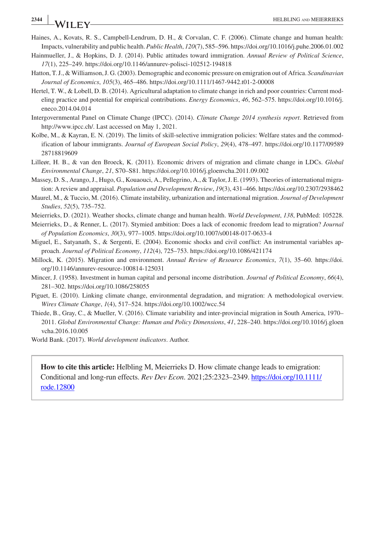# Haines, A., Kovats, R. S., Campbell-Lendrum, D. H., & Corvalan, C. F. (2006). Climate change and human health:

- Impacts, vulnerability and public health. *Public Health*, *120*(7), 585–596.<https://doi.org/10.1016/j.puhe.2006.01.002> Hainmueller, J., & Hopkins, D. J. (2014). Public attitudes toward immigration. *Annual Review of Political Science*, *17*(1), 225–249.<https://doi.org/10.1146/annurev-polisci-102512-194818>
- Hatton, T. J., & Williamson, J. G. (2003). Demographic and economic pressure on emigration out of Africa. *Scandinavian Journal of Economics*, *105*(3), 465–486.<https://doi.org/10.1111/1467-9442.t01-2-00008>
- Hertel, T. W., & Lobell, D. B. (2014). Agricultural adaptation to climate change in rich and poor countries: Current modeling practice and potential for empirical contributions. *Energy Economics*, *46*, 562–575. [https://doi.org/10.1016/j.](https://doi.org/10.1016/j.eneco.2014.04.014) [eneco.2014.04.014](https://doi.org/10.1016/j.eneco.2014.04.014)
- Intergovernmental Panel on Climate Change (IPCC). (2014). *Climate Change 2014 synthesis report*. Retrieved from <http://www.ipcc.ch/>. Last accessed on May 1, 2021.
- Kolbe, M., & Kayran, E. N. (2019). The limits of skill-selective immigration policies: Welfare states and the commodification of labour immigrants. *Journal of European Social Policy*, *29*(4), 478–497. [https://doi.org/10.1177/09589](https://doi.org/10.1177/0958928718819609) [28718819609](https://doi.org/10.1177/0958928718819609)
- Lilleør, H. B., & van den Broeck, K. (2011). Economic drivers of migration and climate change in LDCs. *Global Environmental Change*, *21*, S70–S81. <https://doi.org/10.1016/j.gloenvcha.2011.09.002>
- Massey, D. S., Arango, J., Hugo, G., Kouaouci, A., Pellegrino, A., & Taylor, J. E. (1993). Theories of international migration: A review and appraisal. *Population and Development Review*, *19*(3), 431–466.<https://doi.org/10.2307/2938462>
- Maurel, M., & Tuccio, M. (2016). Climate instability, urbanization and international migration. *Journal of Development Studies*, *52*(5), 735–752.
- Meierrieks, D. (2021). Weather shocks, climate change and human health. *World Development*, *138*, PubMed: 105228.
- Meierrieks, D., & Renner, L. (2017). Stymied ambition: Does a lack of economic freedom lead to migration? *Journal of Population Economics*, *30*(3), 977–1005.<https://doi.org/10.1007/s00148-017-0633-4>
- Miguel, E., Satyanath, S., & Sergenti, E. (2004). Economic shocks and civil conflict: An instrumental variables approach. *Journal of Political Economy*, *112*(4), 725–753. <https://doi.org/10.1086/421174>
- Millock, K. (2015). Migration and environment. *Annual Review of Resource Economics*, *7*(1), 35–60. [https://doi.](https://doi.org/10.1146/annurev-resource-100814-125031) [org/10.1146/annurev-resource-100814-125031](https://doi.org/10.1146/annurev-resource-100814-125031)
- Mincer, J. (1958). Investment in human capital and personal income distribution. *Journal of Political Economy*, *66*(4), 281–302. <https://doi.org/10.1086/258055>
- Piguet, E. (2010). Linking climate change, environmental degradation, and migration: A methodological overview. *Wires Climate Change*, *1*(4), 517–524. <https://doi.org/10.1002/wcc.54>
- Thiede, B., Gray, C., & Mueller, V. (2016). Climate variability and inter-provincial migration in South America, 1970– 2011. *Global Environmental Change: Human and Policy Dimensions*, *41*, 228–240. [https://doi.org/10.1016/j.gloen](https://doi.org/10.1016/j.gloenvcha.2016.10.005) [vcha.2016.10.005](https://doi.org/10.1016/j.gloenvcha.2016.10.005)

World Bank. (2017). *World development indicators*. Author.

**How to cite this article:** Helbling M, Meierrieks D. How climate change leads to emigration: Conditional and long-run effects. *Rev Dev Econ*. 2021;25:2323–2349. [https://doi.org/10.1111/](https://doi.org/10.1111/rode.12800) [rode.12800](https://doi.org/10.1111/rode.12800)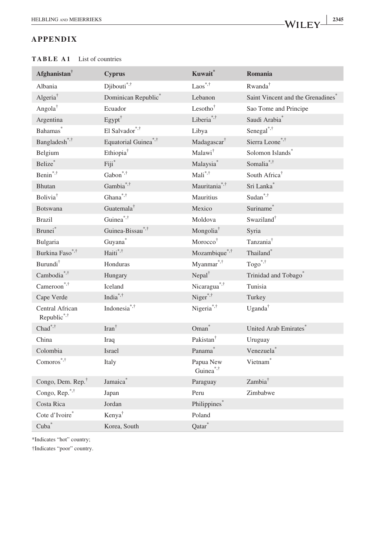#### **APPENDIX**

| Afghanistan $^{\dagger}$       | <b>Cyprus</b>                    | Kuwait*                            | Romania                           |
|--------------------------------|----------------------------------|------------------------------------|-----------------------------------|
| Albania                        | Djibouti <sup>*,†</sup>          | $\text{Laos}^{*,\dagger}$          | Rwanda <sup>†</sup>               |
| Algeria <sup>†</sup>           | Dominican Republic*              | Lebanon                            | Saint Vincent and the Grenadines* |
| Angola <sup>†</sup>            | Ecuador                          | Lesotho <sup>†</sup>               | Sao Tome and Principe             |
| Argentina                      | $Egypt^{\dagger}$                | Liberia <sup>*,†</sup>             | Saudi Arabia <sup>*</sup>         |
| Bahamas*                       | El Salvador*,†                   | Libya                              | Senegal $*$                       |
| Bangladesh <sup>*,†</sup>      | Equatorial Guinea <sup>*,†</sup> | Madagascar <sup>†</sup>            | Sierra Leone*,†                   |
| Belgium                        | Ethiopia <sup>†</sup>            | Malawi <sup>†</sup>                | Solomon Islands*                  |
| Belize*                        | Fiji*                            | Malaysia <sup>*</sup>              | Somalia*,†                        |
| Benin*,†                       | Gabon <sup>*,†</sup>             | Mali <sup>*,†</sup>                | South Africa <sup>†</sup>         |
| Bhutan                         | Gambia <sup>*,†</sup>            | Mauritania <sup>*,†</sup>          | Sri Lanka*                        |
| Bolivia <sup>†</sup>           | $Ghana^{\ast,\dagger}$           | <b>Mauritius</b>                   | Sudan $^{\ast,\dagger}$           |
| <b>Botswana</b>                | Guatemala <sup>†</sup>           | Mexico                             | Suriname*                         |
| <b>Brazil</b>                  | Guinea <sup>*,†</sup>            | Moldova                            | Swaziland <sup>†</sup>            |
| Brunei*                        | Guinea-Bissau*,†                 | Mongolia <sup>†</sup>              | Syria                             |
| Bulgaria                       | $\mbox{Guyana}^*$                | Morocco <sup>†</sup>               | Tanzania <sup>†</sup>             |
| Burkina Faso*,†                | Haiti*,†                         | Mozambique <sup>*,†</sup>          | Thailand*                         |
| Burundi <sup>†</sup>           | Honduras                         | Myanmar <sup>*,†</sup>             | $Togo^{*,\dagger}$                |
| Cambodia <sup>*,†</sup>        | Hungary                          | Nepal <sup>†</sup>                 | Trinidad and Tobago*              |
| Cameroon <sup>*,†</sup>        | Iceland                          | Nicaragua <sup>*,†</sup>           | Tunisia                           |
| Cape Verde                     | India <sup>*,†</sup>             | Niger $*$ , $\dagger$              | Turkey                            |
| Central African<br>Republic*,† | Indonesia <sup>*,†</sup>         | Nigeria <sup>*,†</sup>             | Uganda <sup>†</sup>               |
| $\mathrm{Chad}^{*,\dagger}$    | Iran <sup>†</sup>                | Oman <sup>*</sup>                  | United Arab Emirates <sup>®</sup> |
| China                          | Iraq                             | Pakistan <sup>†</sup>              | Uruguay                           |
| Colombia                       | Israel                           | Panama®                            | Venezuela <sup>*</sup>            |
| $Comoros$ <sup>*,†</sup>       | Italy                            | Papua New<br>Guinea <sup>*,†</sup> | Vietnam <sup>*</sup>              |
| Congo, Dem. Rep. <sup>†</sup>  | Jamaica <sup>®</sup>             | Paraguay                           | Zambia <sup>†</sup>               |
| Congo, Rep.*,†                 | Japan                            | Peru                               | Zimbabwe                          |
| Costa Rica                     | Jordan                           | Philippines*                       |                                   |
| Cote d'Ivoire*                 | Kenya <sup>†</sup>               | Poland                             |                                   |
| Cuba <sup>*</sup>              | Korea, South                     | Qatar <sup>*</sup>                 |                                   |

#### **TABLE A1** List of countries

\*Indicates "hot" country;

†Indicates "poor" country.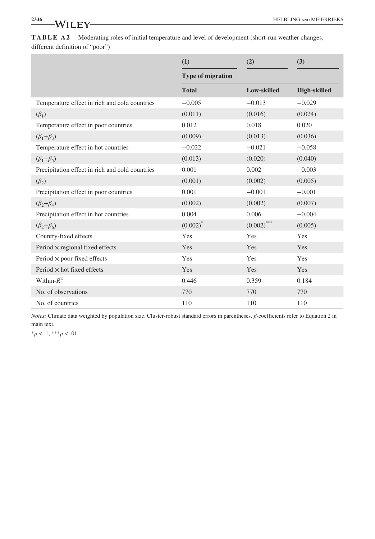|                                                 | (1)                      | (2)           | (3)                 |
|-------------------------------------------------|--------------------------|---------------|---------------------|
|                                                 | <b>Type of migration</b> |               |                     |
|                                                 | <b>Total</b>             | Low-skilled   | <b>High-skilled</b> |
| Temperature effect in rich and cold countries   | $-0.005$                 | $-0.013$      | $-0.029$            |
| $(\beta_1)$                                     | (0.011)                  | (0.016)       | (0.024)             |
| Temperature effect in poor countries            | 0.012                    | 0.018         | 0.020               |
| $(\beta_1+\beta_3)$                             | (0.009)                  | (0.013)       | (0.036)             |
| Temperature effect in hot countries             | $-0.022$                 | $-0.021$      | $-0.058$            |
| $(\beta_1+\beta_5)$                             | (0.013)                  | (0.020)       | (0.040)             |
| Precipitation effect in rich and cold countries | 0.001                    | 0.002         | $-0.003$            |
| $(\beta_2)$                                     | (0.001)                  | (0.002)       | (0.005)             |
| Precipitation effect in poor countries          | 0.001                    | $-0.001$      | $-0.001$            |
| $(\beta_2+\beta_4)$                             | (0.002)                  | (0.002)       | (0.007)             |
| Precipitation effect in hot countries           | 0.004                    | 0.006         | $-0.004$            |
| $(\beta_2+\beta_6)$                             | $(0.002)^*$              | $(0.002)$ *** | (0.005)             |
| Country-fixed effects                           | Yes                      | Yes           | Yes                 |
| Period $\times$ regional fixed effects          | <b>Yes</b>               | Yes           | Yes                 |
| Period $\times$ poor fixed effects              | Yes                      | Yes           | Yes                 |
| Period $\times$ hot fixed effects               | Yes                      | Yes           | Yes                 |
| Within- $R^2$                                   | 0.446                    | 0.359         | 0.184               |
| No. of observations                             | 770                      | 770           | 770                 |
| No. of countries                                | 110                      | 110           | 110                 |

**TABLE A2** Moderating roles of initial temperature and level of development (short-run weather changes, different definition of "poor")

*Notes:* Climate data weighted by population size. Cluster-robust standard errors in parentheses. *β*-coefficients refer to Equation 2 in main text.

 $^{*}p<.1;$ <br> $^{***}p<.01.$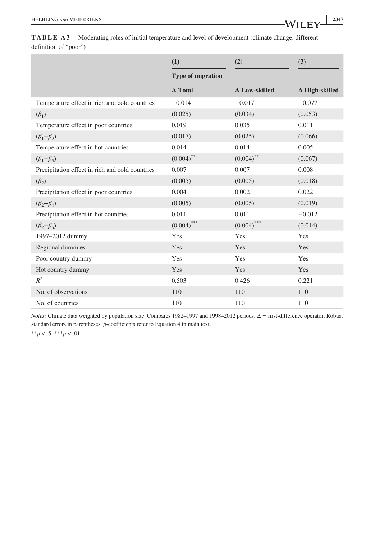|                                                 | (1)                      | (2)                  | (3)                   |
|-------------------------------------------------|--------------------------|----------------------|-----------------------|
|                                                 | <b>Type of migration</b> |                      |                       |
|                                                 | $\Delta$ Total           | $\Delta$ Low-skilled | $\Delta$ High-skilled |
| Temperature effect in rich and cold countries   | $-0.014$                 | $-0.017$             | $-0.077$              |
| $(\beta_1)$                                     | (0.025)                  | (0.034)              | (0.053)               |
| Temperature effect in poor countries            | 0.019                    | 0.035                | 0.011                 |
| $(\beta_1+\beta_3)$                             | (0.017)                  | (0.025)              | (0.066)               |
| Temperature effect in hot countries             | 0.014                    | 0.014                | 0.005                 |
| $(\beta_1+\beta_5)$                             | $(0.004)$ **             | $(0.004)$ **         | (0.067)               |
| Precipitation effect in rich and cold countries | 0.007                    | 0.007                | 0.008                 |
| $(\beta_2)$                                     | (0.005)                  | (0.005)              | (0.018)               |
| Precipitation effect in poor countries          | 0.004                    | 0.002                | 0.022                 |
| $(\beta_2+\beta_4)$                             | (0.005)                  | (0.005)              | (0.019)               |
| Precipitation effect in hot countries           | 0.011                    | 0.011                | $-0.012$              |
| $(\beta_2+\beta_6)$                             | $(0.004)$ ***            | $(0.004)$ ***        | (0.014)               |
| 1997-2012 dummy                                 | Yes                      | Yes                  | Yes                   |
| Regional dummies                                | Yes                      | Yes                  | <b>Yes</b>            |
| Poor country dummy                              | Yes                      | Yes                  | Yes                   |
| Hot country dummy                               | Yes                      | Yes                  | Yes                   |
| $R^2$                                           | 0.503                    | 0.426                | 0.221                 |
| No. of observations                             | 110                      | 110                  | 110                   |
| No. of countries                                | 110                      | 110                  | 110                   |

*Notes:* Climate data weighted by population size. Compares 1982–1997 and 1998–2012 periods. Δ = first-difference operator. Robust standard errors in parentheses. *β*-coefficients refer to Equation 4 in main text.

 $**p < .5; ***p < .01.$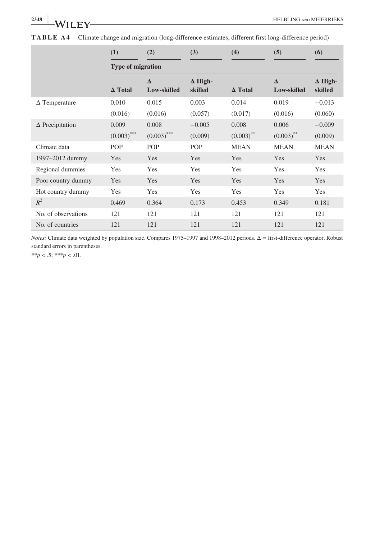|                        | (1)                      | (2)                     | (3)                       | (4)            | (5)                     | (6)                       |  |
|------------------------|--------------------------|-------------------------|---------------------------|----------------|-------------------------|---------------------------|--|
|                        | <b>Type of migration</b> |                         |                           |                |                         |                           |  |
|                        | $\Delta$ Total           | $\Delta$<br>Low-skilled | $\Delta$ High-<br>skilled | $\Delta$ Total | $\Delta$<br>Low-skilled | $\Delta$ High-<br>skilled |  |
| $\Delta$ Temperature   | 0.010                    | 0.015                   | 0.003                     | 0.014          | 0.019                   | $-0.013$                  |  |
|                        | (0.016)                  | (0.016)                 | (0.057)                   | (0.017)        | (0.016)                 | (0.060)                   |  |
| $\Delta$ Precipitation | 0.009                    | 0.008                   | $-0.005$                  | 0.008          | 0.006                   | $-0.009$                  |  |
|                        | $(0.003)$ ***            | $(0.003)$ ***           | (0.009)                   | $(0.003)$ **   | $(0.003)$ **            | (0.009)                   |  |
| Climate data           | POP                      | POP                     | <b>POP</b>                | <b>MEAN</b>    | <b>MEAN</b>             | <b>MEAN</b>               |  |
| 1997–2012 dummy        | Yes                      | <b>Yes</b>              | Yes                       | Yes            | <b>Yes</b>              | Yes                       |  |
| Regional dummies       | Yes                      | Yes                     | Yes                       | Yes            | Yes                     | Yes                       |  |
| Poor country dummy     | Yes                      | <b>Yes</b>              | Yes                       | Yes            | Yes                     | Yes                       |  |
| Hot country dummy      | Yes                      | Yes                     | Yes                       | Yes            | Yes                     | Yes                       |  |
| $R^2$                  | 0.469                    | 0.364                   | 0.173                     | 0.453          | 0.349                   | 0.181                     |  |
| No. of observations    | 121                      | 121                     | 121                       | 121            | 121                     | 121                       |  |
| No. of countries       | 121                      | 121                     | 121                       | 121            | 121                     | 121                       |  |

**TABLE A4** Climate change and migration (long-difference estimates, different first long-difference period)

*Notes:* Climate data weighted by population size. Compares 1975–1997 and 1998–2012 periods. Δ = first-difference operator. Robust standard errors in parentheses.

 $**p < .5; ***p < .01.$